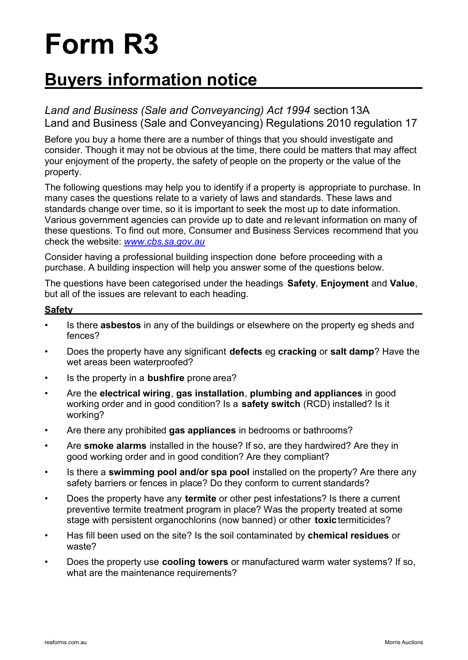# **Form R3**

## **Buyers information notice**

*Land and Business (Sale and Conveyancing) Act 1994* section 13A Land and Business (Sale and Conveyancing) Regulations 2010 regulation 17

Before you buy a home there are a number of things that you should investigate and consider. Though it may not be obvious at the time, there could be matters that may affect your enjoyment of the property, the safety of people on the property or the value of the property.

The following questions may help you to identify if a property is appropriate to purchase. In many cases the questions relate to a variety of laws and standards. These laws and standards change over time, so it is important to seek the most up to date information. Various government agencies can provide up to date and re levant information on many of these questions. To find out more, Consumer and Business Services recommend that you check the website: *www.cbs.sa.gov.au*

Consider having a professional building inspection done before proceeding with a purchase. A building inspection will help you answer some of the questions below.

The questions have been categorised under the headings **Safety**, **Enjoyment** and **Value**, but all of the issues are relevant to each heading.

#### **Safety**

- Is there **asbestos** in any of the buildings or elsewhere on the property eg sheds and fences?
- Does the property have any significant **defects** eg **cracking** or **salt damp**? Have the wet areas been waterproofed?
- Is the property in a **bushfire** prone area?
- Are the **electrical wiring**, **gas installation**, **plumbing and appliances** in good working order and in good condition? Is a **safety switch** (RCD) installed? Is it working?
- Are there any prohibited **gas appliances** in bedrooms or bathrooms?
- Are **smoke alarms** installed in the house? If so, are they hardwired? Are they in good working order and in good condition? Are they compliant?
- Is there a **swimming pool and/or spa pool** installed on the property? Are there any safety barriers or fences in place? Do they conform to current standards?
- Does the property have any **termite** or other pest infestations? Is there a current preventive termite treatment program in place? Was the property treated at some stage with persistent organochlorins (now banned) or other **toxic**termiticides?
- Has fill been used on the site? Is the soil contaminated by **chemical residues** or waste?
- Does the property use **cooling towers** or manufactured warm water systems? If so, what are the maintenance requirements?